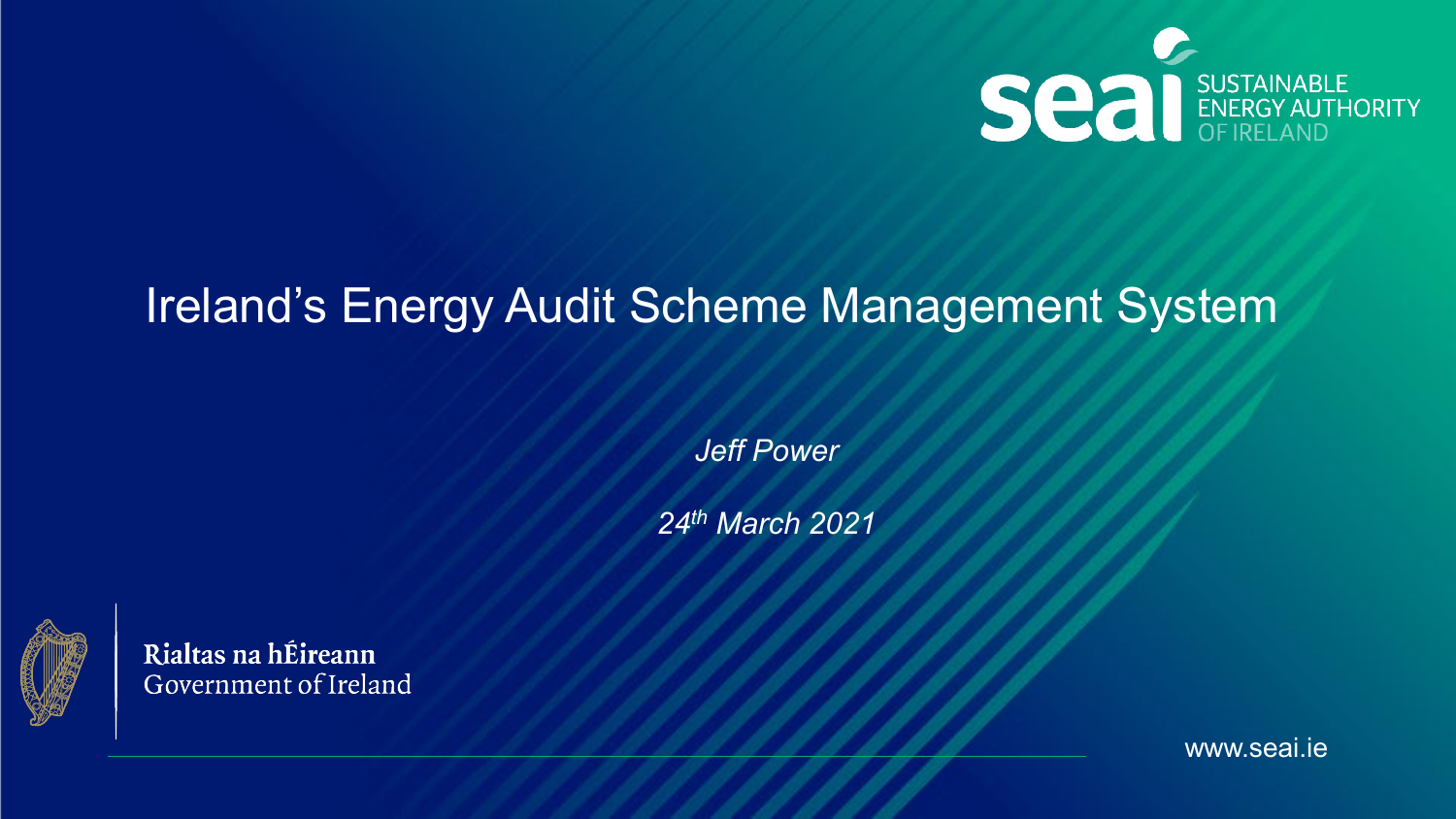

# Ireland's Energy Audit Scheme Management System

*Jeff Power* 

*24th March 2021*



Rialtas na hÉireann Government of Ireland

www.seai.ie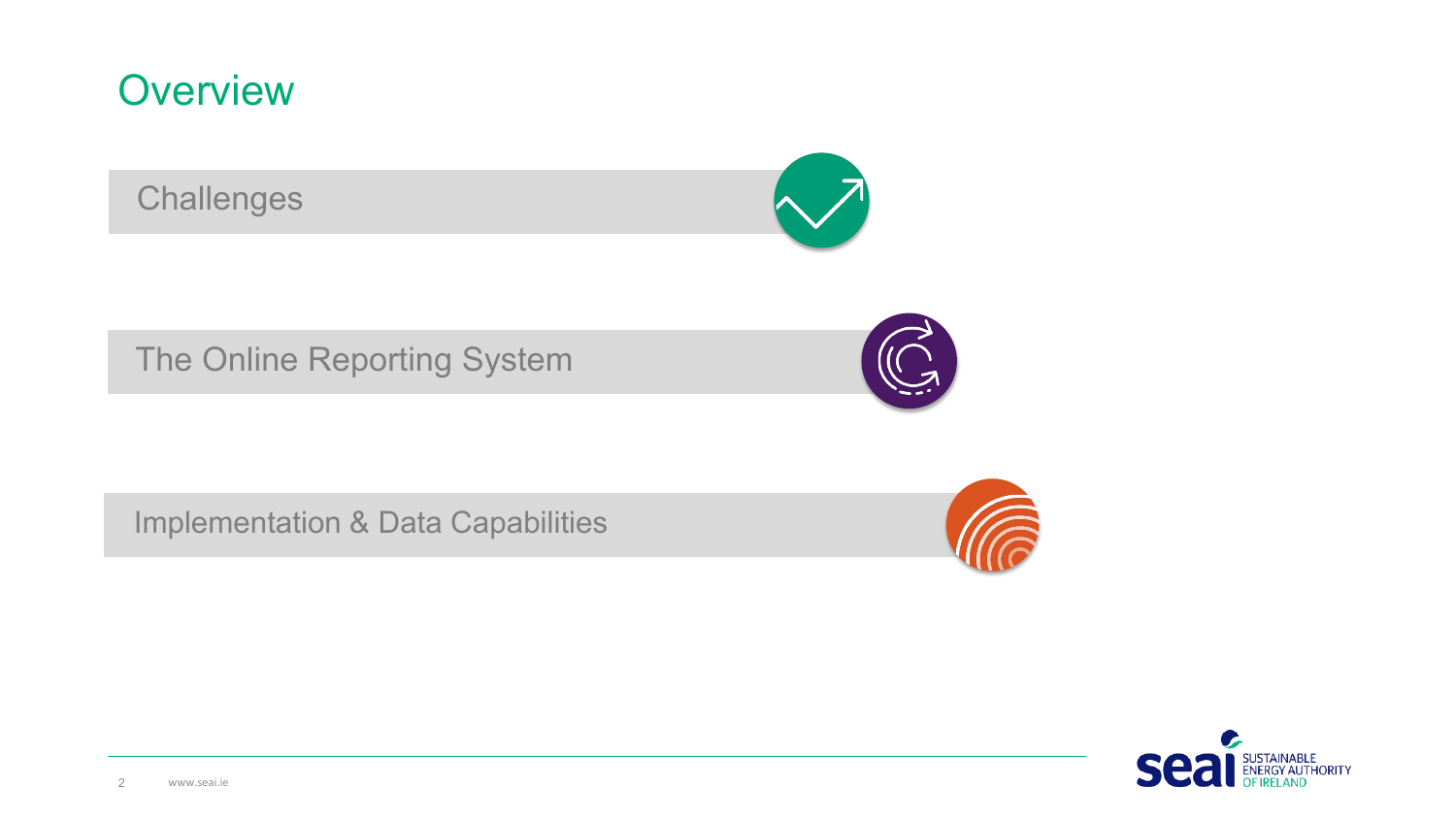#### **Overview**

**Challenges** 



The Online Reporting System



Implementation & Data Capabilities



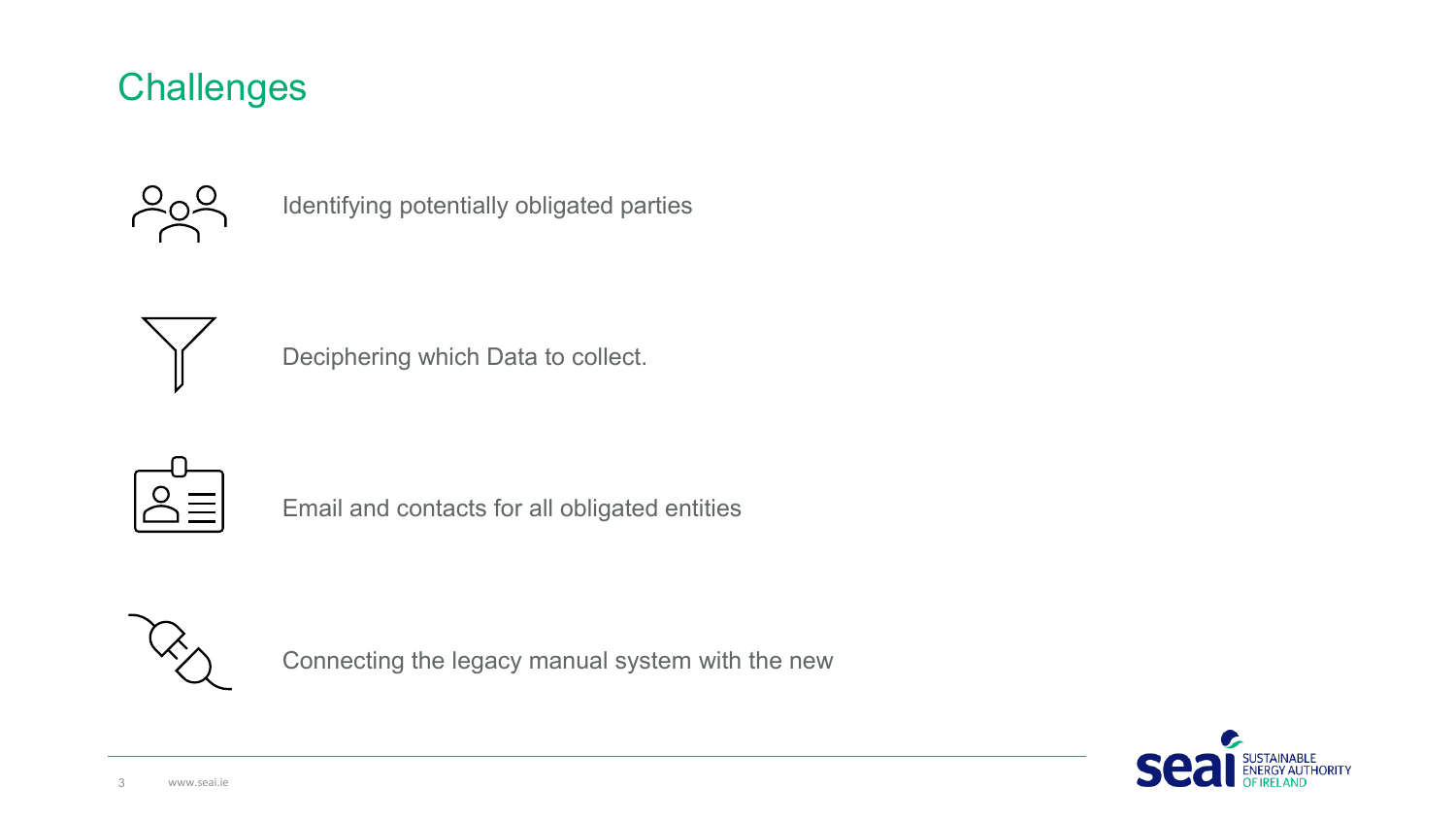#### **Challenges**



Identifying potentially obligated parties



Deciphering which Data to collect.



Email and contacts for all obligated entities



Connecting the legacy manual system with the new

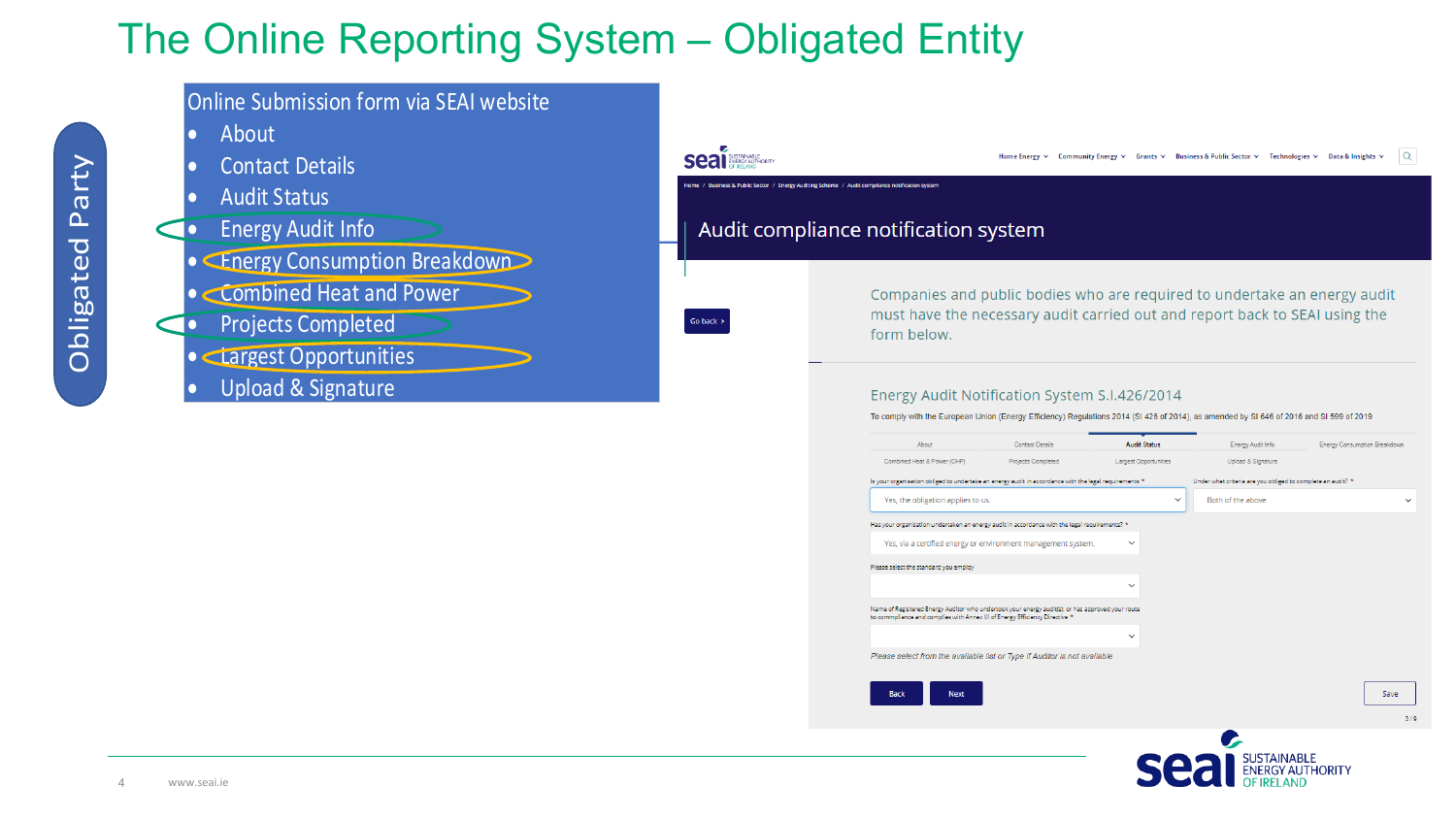## The Online Reporting System – Obligated Entity



**IGY AUTHORITY**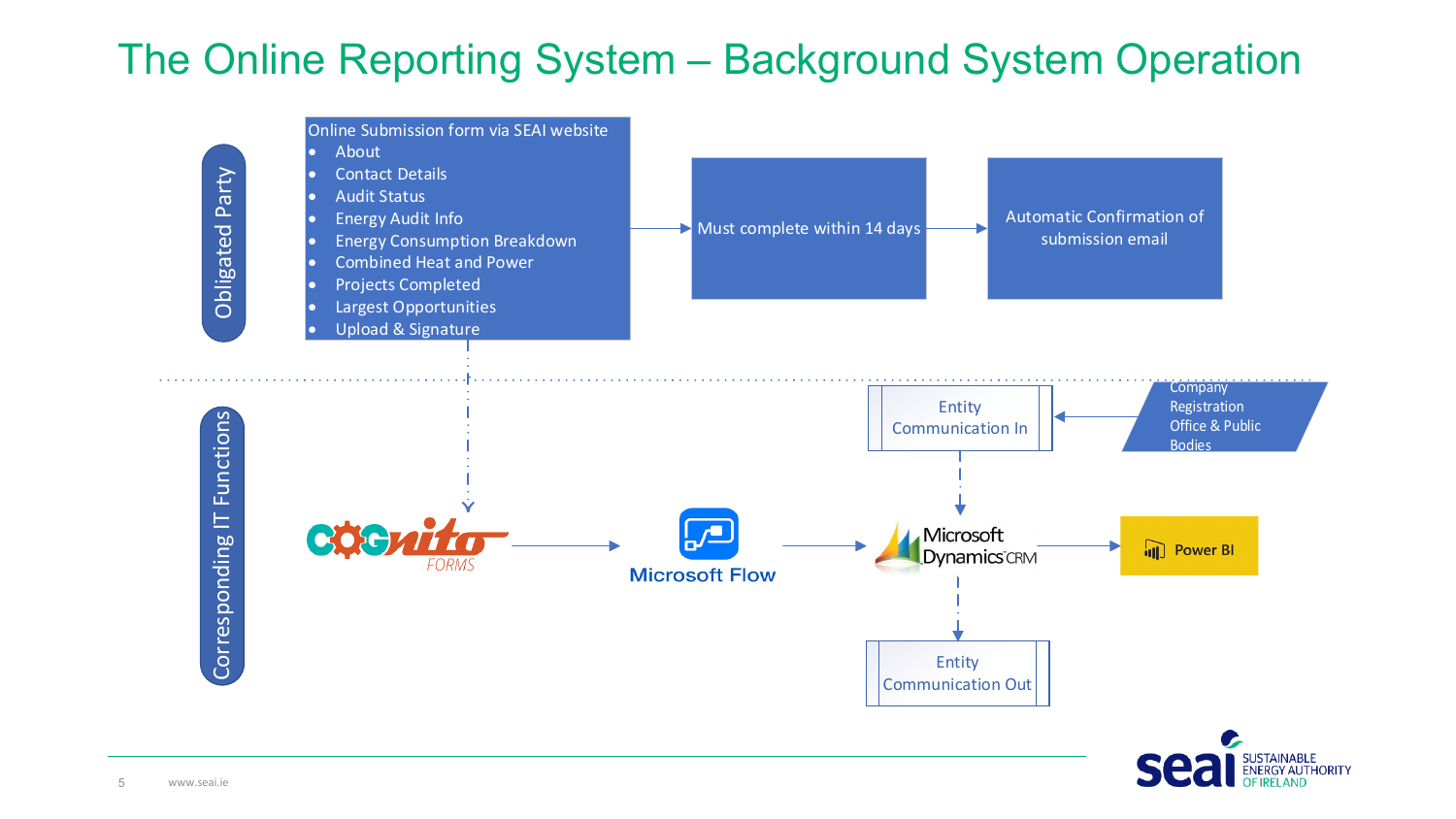# The Online Reporting System – Background System Operation



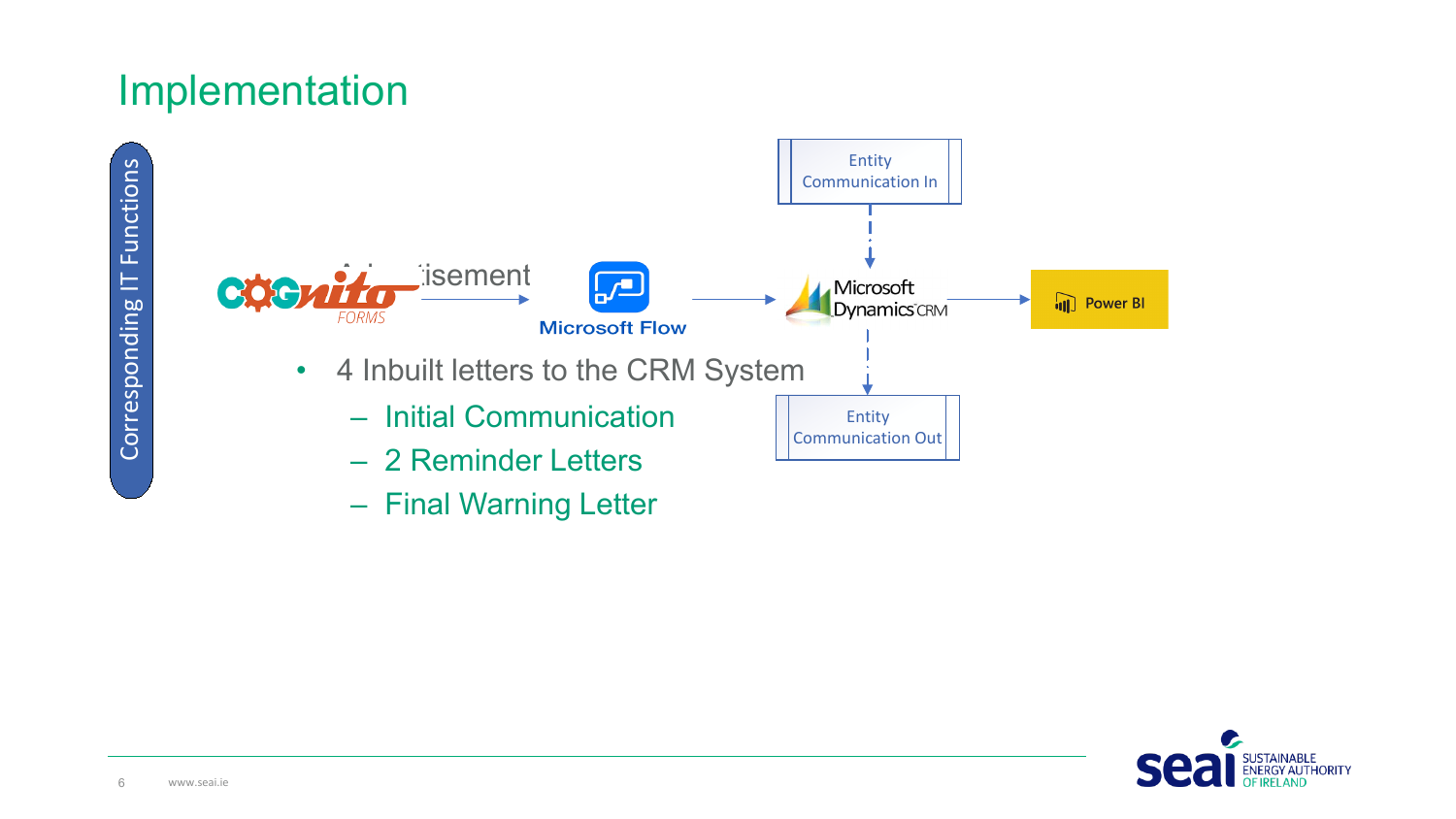#### Implementation







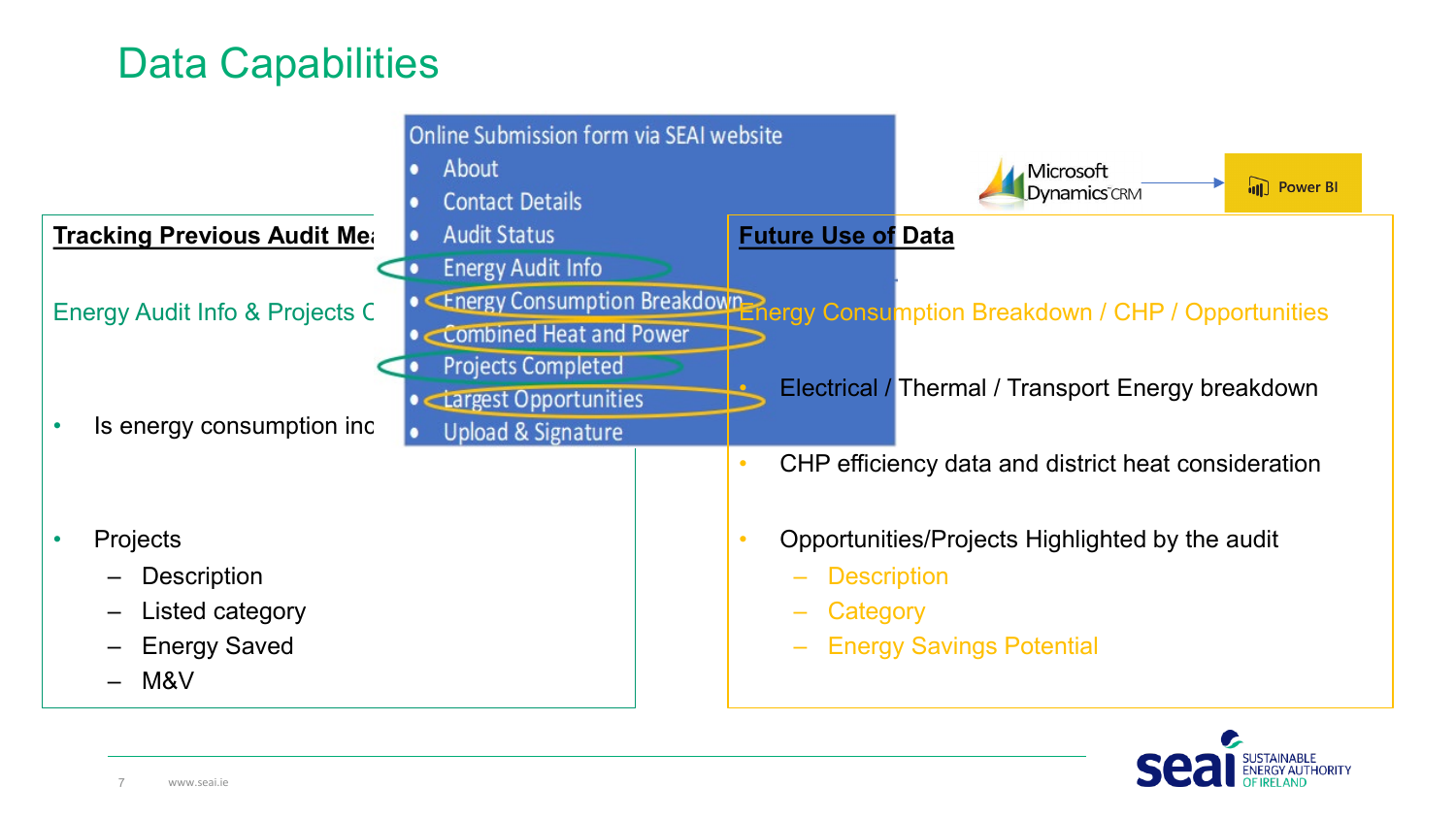### Data Capabilities